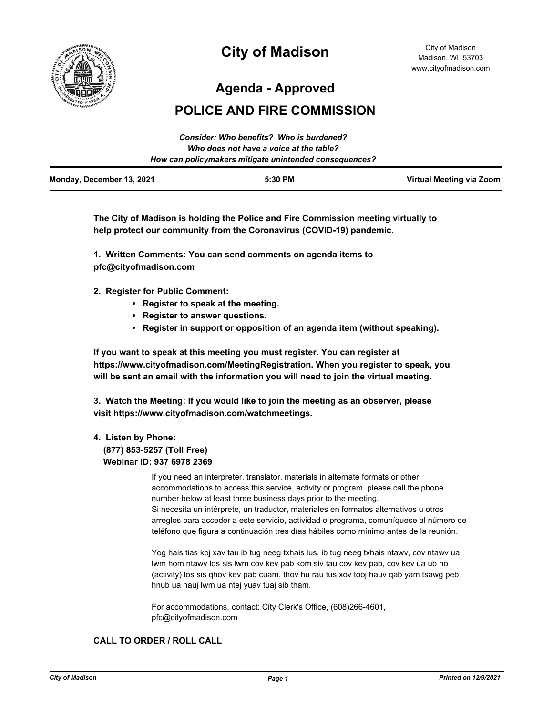

# **City of Madison**

**Agenda - Approved**

# **POLICE AND FIRE COMMISSION**

|                                         | Consider: Who benefits? Who is burdened?               |                          |
|-----------------------------------------|--------------------------------------------------------|--------------------------|
| Who does not have a voice at the table? |                                                        |                          |
|                                         | How can policymakers mitigate unintended consequences? |                          |
| Monday, December 13, 2021               | 5:30 PM                                                | Virtual Meeting via Zoom |

**The City of Madison is holding the Police and Fire Commission meeting virtually to help protect our community from the Coronavirus (COVID-19) pandemic.**

**1. Written Comments: You can send comments on agenda items to pfc@cityofmadison.com**

- **2. Register for Public Comment:** 
	- **Register to speak at the meeting.**
	- **Register to answer questions.**
	- **Register in support or opposition of an agenda item (without speaking).**

**If you want to speak at this meeting you must register. You can register at https://www.cityofmadison.com/MeetingRegistration. When you register to speak, you will be sent an email with the information you will need to join the virtual meeting.**

**3. Watch the Meeting: If you would like to join the meeting as an observer, please visit https://www.cityofmadison.com/watchmeetings.**

### **4. Listen by Phone:**

#### **(877) 853-5257 (Toll Free) Webinar ID: 937 6978 2369**

If you need an interpreter, translator, materials in alternate formats or other accommodations to access this service, activity or program, please call the phone number below at least three business days prior to the meeting. Si necesita un intérprete, un traductor, materiales en formatos alternativos u otros arreglos para acceder a este servicio, actividad o programa, comuníquese al número de teléfono que figura a continuación tres días hábiles como mínimo antes de la reunión.

Yog hais tias koj xav tau ib tug neeg txhais lus, ib tug neeg txhais ntawv, cov ntawv ua lwm hom ntawv los sis lwm cov kev pab kom siv tau cov kev pab, cov kev ua ub no (activity) los sis qhov kev pab cuam, thov hu rau tus xov tooj hauv qab yam tsawg peb hnub ua hauj lwm ua ntej yuav tuaj sib tham.

For accommodations, contact: City Clerk's Office, (608)266-4601, pfc@cityofmadison.com

## **CALL TO ORDER / ROLL CALL**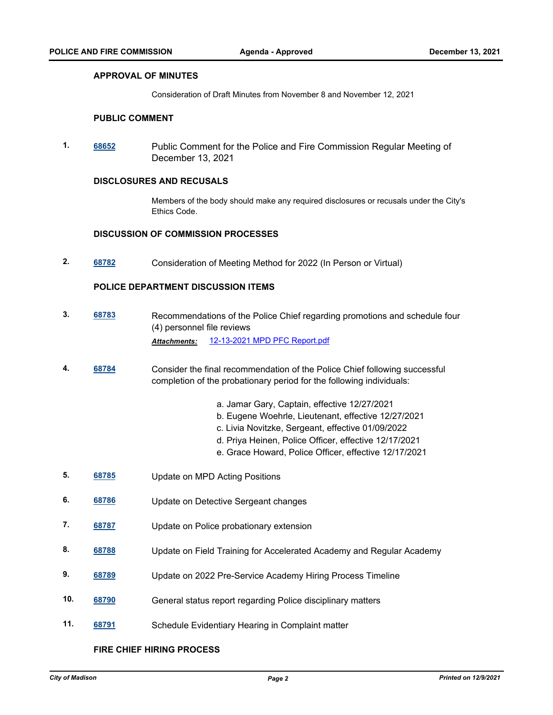#### **APPROVAL OF MINUTES**

Consideration of Draft Minutes from November 8 and November 12, 2021

#### **PUBLIC COMMENT**

**1. [68652](http://madison.legistar.com/gateway.aspx?m=l&id=/matter.aspx?key=80270)** Public Comment for the Police and Fire Commission Regular Meeting of December 13, 2021

#### **DISCLOSURES AND RECUSALS**

Members of the body should make any required disclosures or recusals under the City's Ethics Code.

#### **DISCUSSION OF COMMISSION PROCESSES**

**2. [68782](http://madison.legistar.com/gateway.aspx?m=l&id=/matter.aspx?key=80381)** Consideration of Meeting Method for 2022 (In Person or Virtual)

#### **POLICE DEPARTMENT DISCUSSION ITEMS**

- **3. [68783](http://madison.legistar.com/gateway.aspx?m=l&id=/matter.aspx?key=80382)** Recommendations of the Police Chief regarding promotions and schedule four (4) personnel file reviews *Attachments:* [12-13-2021 MPD PFC Report.pdf](http://madison.legistar.com/gateway.aspx?M=F&ID=0b3d5fd4-59c1-4c8b-9281-c9911026fcd5.pdf)
- **4. [68784](http://madison.legistar.com/gateway.aspx?m=l&id=/matter.aspx?key=80383)** Consider the final recommendation of the Police Chief following successful completion of the probationary period for the following individuals:
	- a. Jamar Gary, Captain, effective 12/27/2021
	- b. Eugene Woehrle, Lieutenant, effective 12/27/2021
	- c. Livia Novitzke, Sergeant, effective 01/09/2022
	- d. Priya Heinen, Police Officer, effective 12/17/2021
	- e. Grace Howard, Police Officer, effective 12/17/2021
- **5. [68785](http://madison.legistar.com/gateway.aspx?m=l&id=/matter.aspx?key=80384)** Update on MPD Acting Positions
- **6. [68786](http://madison.legistar.com/gateway.aspx?m=l&id=/matter.aspx?key=80385)** Update on Detective Sergeant changes
- **7. [68787](http://madison.legistar.com/gateway.aspx?m=l&id=/matter.aspx?key=80386)** Update on Police probationary extension
- **8. [68788](http://madison.legistar.com/gateway.aspx?m=l&id=/matter.aspx?key=80387)** Update on Field Training for Accelerated Academy and Regular Academy
- **9. [68789](http://madison.legistar.com/gateway.aspx?m=l&id=/matter.aspx?key=80388)** Update on 2022 Pre-Service Academy Hiring Process Timeline
- **10. [68790](http://madison.legistar.com/gateway.aspx?m=l&id=/matter.aspx?key=80389)** General status report regarding Police disciplinary matters
- **11. [68791](http://madison.legistar.com/gateway.aspx?m=l&id=/matter.aspx?key=80390)** Schedule Evidentiary Hearing in Complaint matter

#### **FIRE CHIEF HIRING PROCESS**